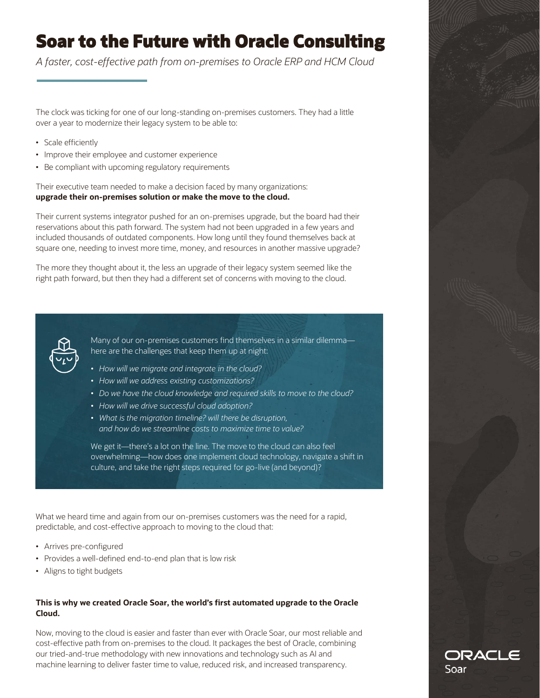# **Soar to the Future with Oracle Consulting**

*A faster, cost-effective path from on-premises to Oracle ERP and HCM Cloud*

The clock was ticking for one of our long-standing on-premises customers. They had a little over a year to modernize their legacy system to be able to:

- Scale efficiently
- Improve their employee and customer experience
- Be compliant with upcoming regulatory requirements

Their executive team needed to make a decision faced by many organizations: **upgrade their on-premises solution or make the move to the cloud.** 

Their current systems integrator pushed for an on-premises upgrade, but the board had their reservations about this path forward. The system had not been upgraded in a few years and included thousands of outdated components. How long until they found themselves back at square one, needing to invest more time, money, and resources in another massive upgrade?

The more they thought about it, the less an upgrade of their legacy system seemed like the right path forward, but then they had a different set of concerns with moving to the cloud.



Many of our on-premises customers find themselves in a similar dilemma here are the challenges that keep them up at night:

- *How will we migrate and integrate in the cloud?*
- *How will we address existing customizations?*
- *Do we have the cloud knowledge and required skills to move to the cloud?*
- *How will we drive successful cloud adoption?*
- *What is the migration timeline? will there be disruption, and how do we streamline costs to maximize time to value?*

We get it—there's a lot on the line. The move to the cloud can also feel overwhelming—how does one implement cloud technology, navigate a shift in culture, and take the right steps required for go-live (and beyond)?

What we heard time and again from our on-premises customers was the need for a rapid, predictable, and cost-effective approach to moving to the cloud that:

- Arrives pre-configured
- Provides a well-defined end-to-end plan that is low risk
- Aligns to tight budgets

### **This is why we created Oracle Soar, the world's first automated upgrade to the Oracle Cloud.**

Now, moving to the cloud is easier and faster than ever with Oracle Soar, our most reliable and cost-effective path from on-premises to the cloud. It packages the best of Oracle, combining our tried-and-true methodology with new innovations and technology such as AI and machine learning to deliver faster time to value, reduced risk, and increased transparency.